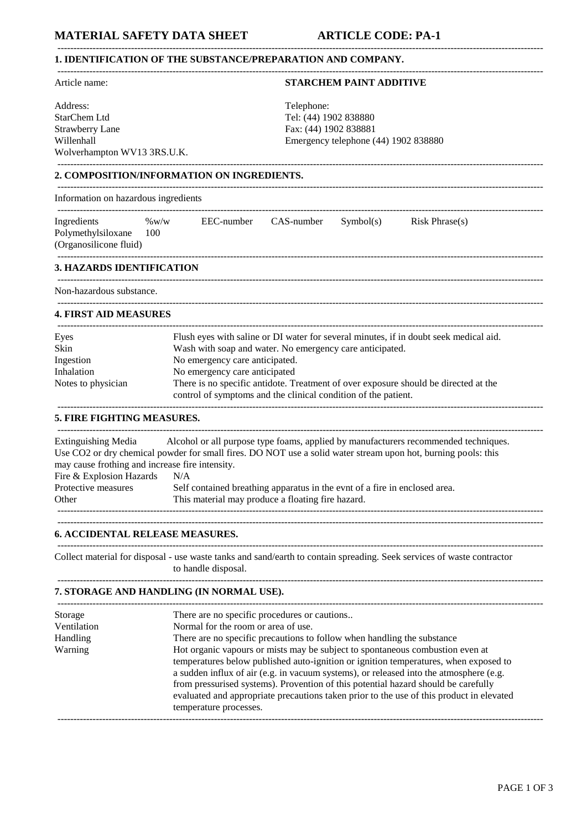# **1. IDENTIFICATION OF THE SUBSTANCE/PREPARATION AND COMPANY.**

| Article name:                                                                 | <b>STARCHEM PAINT ADDITIVE</b>                                                                                                                                                                       |  |
|-------------------------------------------------------------------------------|------------------------------------------------------------------------------------------------------------------------------------------------------------------------------------------------------|--|
| Address:                                                                      | Telephone:                                                                                                                                                                                           |  |
| StarChem Ltd                                                                  | Tel: (44) 1902 838880                                                                                                                                                                                |  |
| <b>Strawberry Lane</b>                                                        | Fax: (44) 1902 838881                                                                                                                                                                                |  |
| Willenhall                                                                    | Emergency telephone (44) 1902 838880                                                                                                                                                                 |  |
| Wolverhampton WV13 3RS.U.K.                                                   |                                                                                                                                                                                                      |  |
|                                                                               | 2. COMPOSITION/INFORMATION ON INGREDIENTS.                                                                                                                                                           |  |
| Information on hazardous ingredients                                          |                                                                                                                                                                                                      |  |
| Ingredients<br>Polymethylsiloxane<br>(Organosilicone fluid)                   | EEC-number CAS-number<br>$\%$ W/W<br>Symbol(s)<br>Risk Phrase(s)<br>100                                                                                                                              |  |
| <b>3. HAZARDS IDENTIFICATION</b>                                              |                                                                                                                                                                                                      |  |
| Non-hazardous substance.                                                      |                                                                                                                                                                                                      |  |
| <b>4. FIRST AID MEASURES</b>                                                  |                                                                                                                                                                                                      |  |
| Eyes                                                                          | Flush eyes with saline or DI water for several minutes, if in doubt seek medical aid.                                                                                                                |  |
| Skin                                                                          | Wash with soap and water. No emergency care anticipated.                                                                                                                                             |  |
| Ingestion                                                                     | No emergency care anticipated.                                                                                                                                                                       |  |
| Inhalation                                                                    | No emergency care anticipated                                                                                                                                                                        |  |
| Notes to physician                                                            | There is no specific antidote. Treatment of over exposure should be directed at the<br>control of symptoms and the clinical condition of the patient.                                                |  |
| 5. FIRE FIGHTING MEASURES.                                                    |                                                                                                                                                                                                      |  |
| <b>Extinguishing Media</b><br>may cause frothing and increase fire intensity. | Alcohol or all purpose type foams, applied by manufacturers recommended techniques.<br>Use CO2 or dry chemical powder for small fires. DO NOT use a solid water stream upon hot, burning pools: this |  |
| Fire & Explosion Hazards                                                      | N/A                                                                                                                                                                                                  |  |
| Protective measures<br>Other                                                  | Self contained breathing apparatus in the evnt of a fire in enclosed area.<br>This material may produce a floating fire hazard.                                                                      |  |
|                                                                               |                                                                                                                                                                                                      |  |
| <b>6. ACCIDENTAL RELEASE MEASURES.</b>                                        |                                                                                                                                                                                                      |  |
|                                                                               | Collect material for disposal - use waste tanks and sand/earth to contain spreading. Seek services of waste contractor                                                                               |  |

--------------------------------------------------------------------------------------------------------------------------------------------------------

to handle disposal.

## -------------------------------------------------------------------------------------------------------------------------------------------------------- **7. STORAGE AND HANDLING (IN NORMAL USE).**

| Storage         | There are no specific procedures or cautions                                                                                                                                                                                                                                                                                                                                                                                                                                |
|-----------------|-----------------------------------------------------------------------------------------------------------------------------------------------------------------------------------------------------------------------------------------------------------------------------------------------------------------------------------------------------------------------------------------------------------------------------------------------------------------------------|
| Ventilation     | Normal for the room or area of use.                                                                                                                                                                                                                                                                                                                                                                                                                                         |
| <b>Handling</b> | There are no specific precautions to follow when handling the substance                                                                                                                                                                                                                                                                                                                                                                                                     |
| Warning         | Hot organic vapours or mists may be subject to spontaneous combustion even at<br>temperatures below published auto-ignition or ignition temperatures, when exposed to<br>a sudden influx of air (e.g. in vacuum systems), or released into the atmosphere (e.g.<br>from pressurised systems). Provention of this potential hazard should be carefully<br>evaluated and appropriate precautions taken prior to the use of this product in elevated<br>temperature processes. |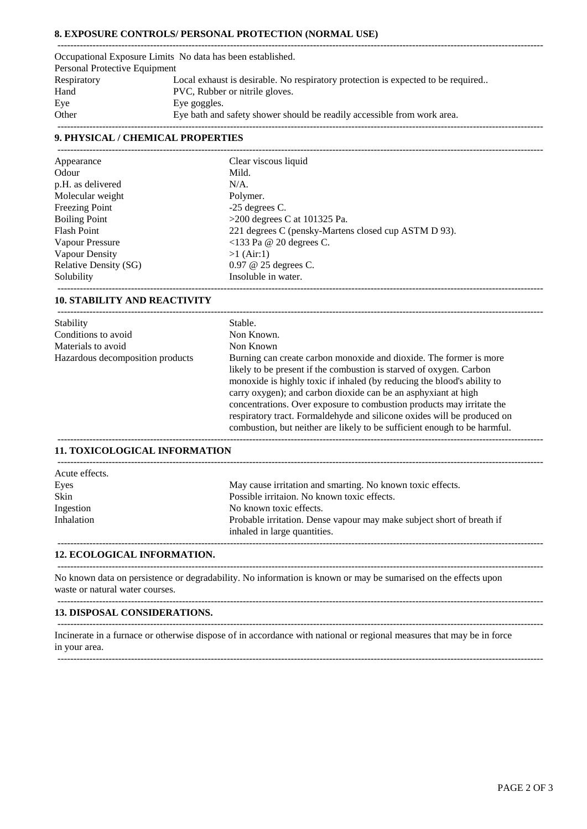## **8. EXPOSURE CONTROLS/ PERSONAL PROTECTION (NORMAL USE)**

|                               | Occupational Exposure Limits No data has been established.                       |
|-------------------------------|----------------------------------------------------------------------------------|
| Personal Protective Equipment |                                                                                  |
| Respiratory                   | Local exhaust is desirable. No respiratory protection is expected to be required |
| Hand                          | PVC, Rubber or nitrile gloves.                                                   |
| Eye                           | Eye goggles.                                                                     |
| Other                         | Eye bath and safety shower should be readily accessible from work area.          |
|                               |                                                                                  |

### **9. PHYSICAL / CHEMICAL PROPERTIES**

| Appearance                   | Clear viscous liquid                                 |
|------------------------------|------------------------------------------------------|
| Odour                        | Mild.                                                |
| p.H. as delivered            | $N/A$ .                                              |
| Molecular weight             | Polymer.                                             |
| Freezing Point               | $-25$ degrees C.                                     |
| <b>Boiling Point</b>         | $>200$ degrees C at 101325 Pa.                       |
| <b>Flash Point</b>           | 221 degrees C (pensky-Martens closed cup ASTM D 93). |
| Vapour Pressure              | $<$ 133 Pa @ 20 degrees C.                           |
| Vapour Density               | $>1$ (Air:1)                                         |
| <b>Relative Density (SG)</b> | $0.97 \& 25$ degrees C.                              |
| Solubility                   | Insoluble in water.                                  |
|                              |                                                      |

### **10. STABILITY AND REACTIVITY**

| Stability                        | Stable.                                                                                                                                                                                                                                                                                                                                                                                                                                                                                                                 |
|----------------------------------|-------------------------------------------------------------------------------------------------------------------------------------------------------------------------------------------------------------------------------------------------------------------------------------------------------------------------------------------------------------------------------------------------------------------------------------------------------------------------------------------------------------------------|
| Conditions to avoid              | Non Known.                                                                                                                                                                                                                                                                                                                                                                                                                                                                                                              |
| Materials to avoid               | Non Known                                                                                                                                                                                                                                                                                                                                                                                                                                                                                                               |
| Hazardous decomposition products | Burning can create carbon monoxide and dioxide. The former is more<br>likely to be present if the combustion is starved of oxygen. Carbon<br>monoxide is highly toxic if inhaled (by reducing the blood's ability to<br>carry oxygen); and carbon dioxide can be an asphyxiant at high<br>concentrations. Over exposure to combustion products may irritate the<br>respiratory tract. Formaldehyde and silicone oxides will be produced on<br>combustion, but neither are likely to be sufficient enough to be harmful. |
|                                  |                                                                                                                                                                                                                                                                                                                                                                                                                                                                                                                         |

### **11. TOXICOLOGICAL INFORMATION**

| Acute effects. |                                                                                                       |
|----------------|-------------------------------------------------------------------------------------------------------|
| Eyes           | May cause irritation and smarting. No known toxic effects.                                            |
| Skin           | Possible irritaion. No known toxic effects.                                                           |
| Ingestion      | No known toxic effects.                                                                               |
| Inhalation     | Probable irritation. Dense vapour may make subject short of breath if<br>inhaled in large quantities. |

--------------------------------------------------------------------------------------------------------------------------------------------------------

--------------------------------------------------------------------------------------------------------------------------------------------------------

--------------------------------------------------------------------------------------------------------------------------------------------------------

#### **12. ECOLOGICAL INFORMATION.**

No known data on persistence or degradability. No information is known or may be sumarised on the effects upon waste or natural water courses.

#### **13. DISPOSAL CONSIDERATIONS.** --------------------------------------------------------------------------------------------------------------------------------------------------------

Incinerate in a furnace or otherwise dispose of in accordance with national or regional measures that may be in force in your area.

--------------------------------------------------------------------------------------------------------------------------------------------------------